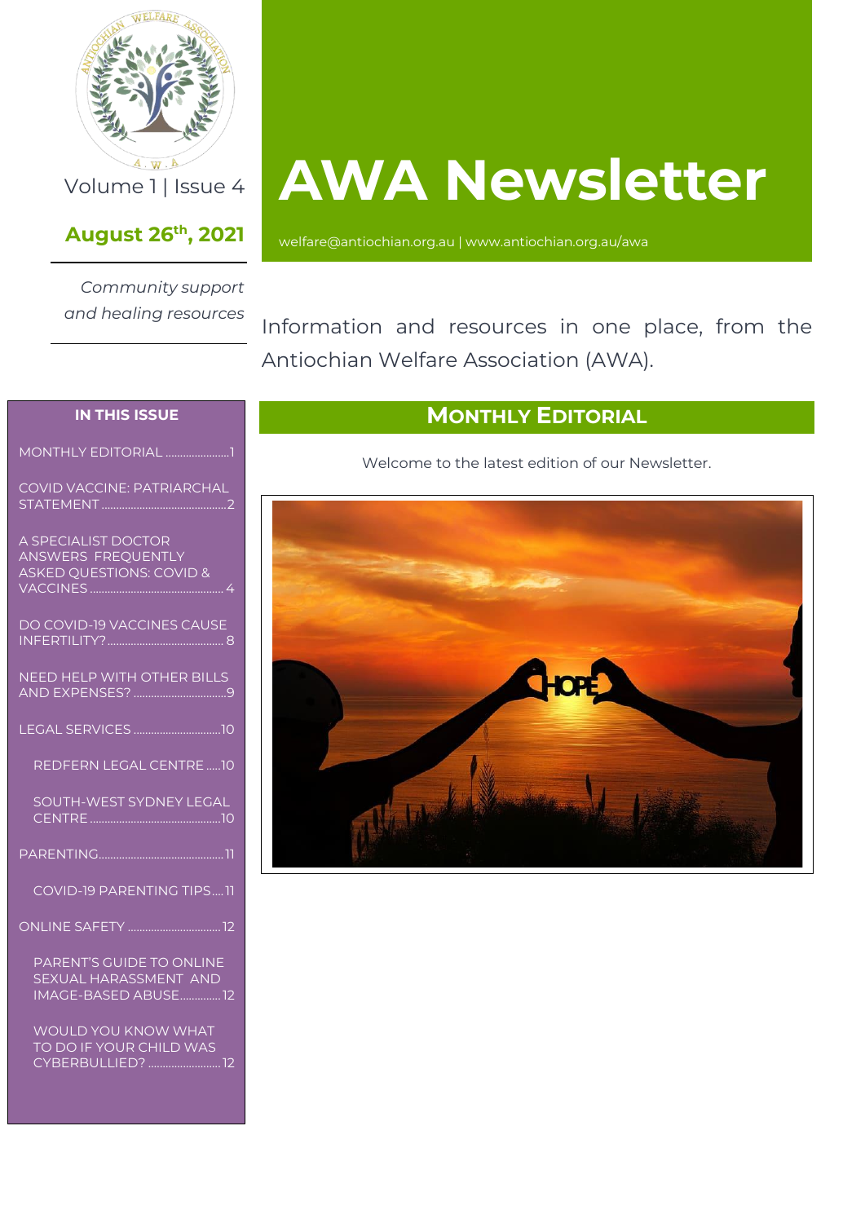

### **August 26th , 2021**

*Community support and healing resources*

# **AWA Newsletter**

[welfare@antiochian.org.au](mailto:welfare@antiochian.org.au) [| www.antiochian.org.au/awa](http://www.antiochian.org.au/awa)

Information and resources in one place, from the Antiochian Welfare Association (AWA).

#### **IN THIS ISSUE**

[MONTHLY EDITORIAL](#page-0-0) .......................1

[COVID VACCINE: PATRIARCHAL](#page-1-0)  STATEMENT ...................................

[A SPECIALIST DOCTOR](#page-3-0)  [ANSWERS FREQUENTLY](#page-3-0)  [ASKED QUESTIONS: COVID &](#page-3-0)  **VACCINES ..............** 

| DO COVID-19 VACCINES CAUSE        |
|-----------------------------------|
| <b>NEED HELP WITH OTHER BILLS</b> |
|                                   |
| REDFERN LEGAL CENTRE  10          |
| <b>SOUTH-WEST SYDNEY LEGAL</b>    |
|                                   |
| <b>COVID-19 PARENTING TIPS11</b>  |
| <b>ONLINE SAFETY</b> 12           |
|                                   |

[PARENT'S GUIDE TO](#page-11-1) ONLINE [SEXUAL HARASSMENT AND](#page-11-1)  [IMAGE-BASED ABUSE..............12](#page-11-1)

[WOULD YOU KNOW WHAT](#page-11-2)  [TO DO IF YOUR CHILD WAS](#page-11-2)  [CYBERBULLIED?](#page-11-2) .........................12

### **MONTHLY EDITORIAL**

Welcome to the latest edition of our Newsletter.

<span id="page-0-0"></span>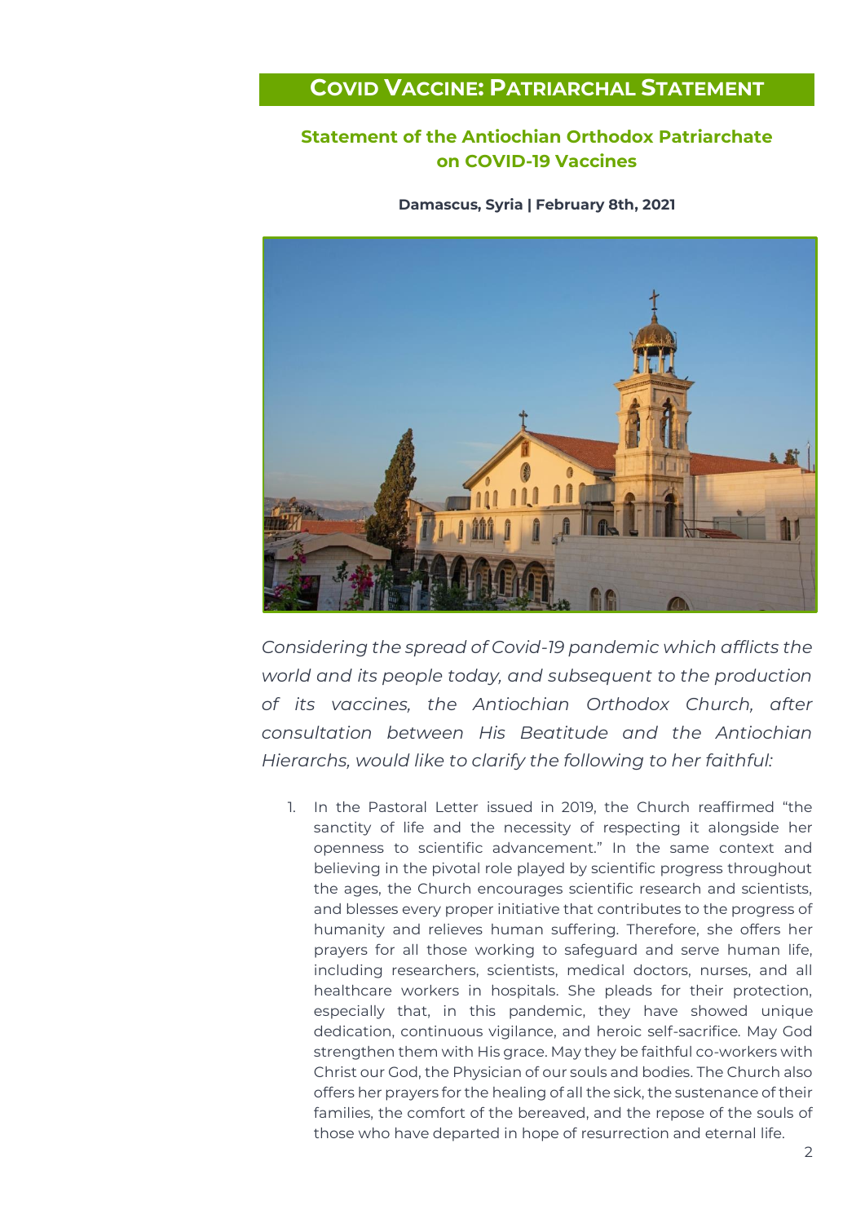### <span id="page-1-0"></span>**COVID VACCINE: PATRIARCHAL STATEMENT**

### **Statement of the Antiochian Orthodox Patriarchate on COVID-19 Vaccines**

**Damascus, Syria | February 8th, 2021**



*Considering the spread of Covid-19 pandemic which afflicts the world and its people today, and subsequent to the production of its vaccines, the Antiochian Orthodox Church, after consultation between His Beatitude and the Antiochian Hierarchs, would like to clarify the following to her faithful:*

1. In the Pastoral Letter issued in 2019, the Church reaffirmed "the sanctity of life and the necessity of respecting it alongside her openness to scientific advancement." In the same context and believing in the pivotal role played by scientific progress throughout the ages, the Church encourages scientific research and scientists, and blesses every proper initiative that contributes to the progress of humanity and relieves human suffering. Therefore, she offers her prayers for all those working to safeguard and serve human life, including researchers, scientists, medical doctors, nurses, and all healthcare workers in hospitals. She pleads for their protection, especially that, in this pandemic, they have showed unique dedication, continuous vigilance, and heroic self-sacrifice. May God strengthen them with His grace. May they be faithful co-workers with Christ our God, the Physician of our souls and bodies. The Church also offers her prayers for the healing of all the sick, the sustenance of their families, the comfort of the bereaved, and the repose of the souls of those who have departed in hope of resurrection and eternal life.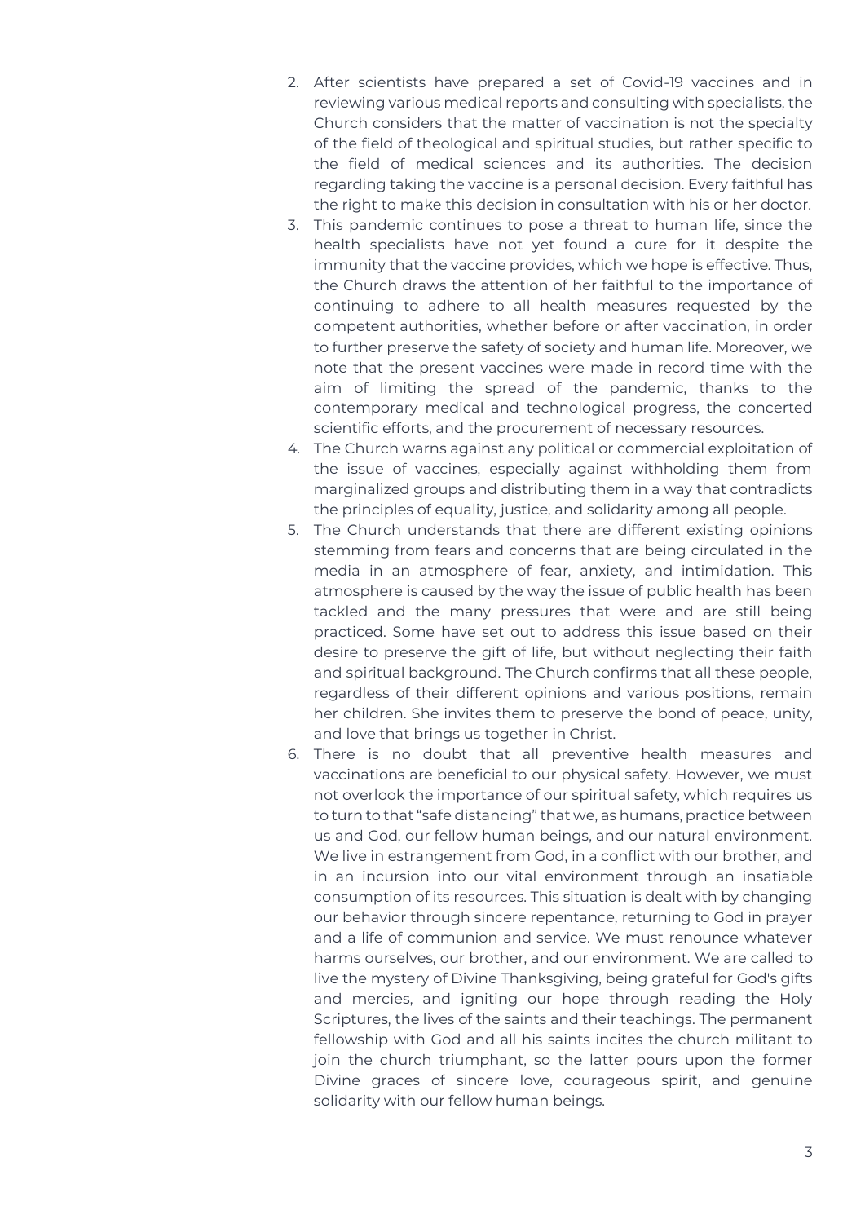- 2. After scientists have prepared a set of Covid-19 vaccines and in reviewing various medical reports and consulting with specialists, the Church considers that the matter of vaccination is not the specialty of the field of theological and spiritual studies, but rather specific to the field of medical sciences and its authorities. The decision regarding taking the vaccine is a personal decision. Every faithful has the right to make this decision in consultation with his or her doctor.
- 3. This pandemic continues to pose a threat to human life, since the health specialists have not yet found a cure for it despite the immunity that the vaccine provides, which we hope is effective. Thus, the Church draws the attention of her faithful to the importance of continuing to adhere to all health measures requested by the competent authorities, whether before or after vaccination, in order to further preserve the safety of society and human life. Moreover, we note that the present vaccines were made in record time with the aim of limiting the spread of the pandemic, thanks to the contemporary medical and technological progress, the concerted scientific efforts, and the procurement of necessary resources.
- 4. The Church warns against any political or commercial exploitation of the issue of vaccines, especially against withholding them from marginalized groups and distributing them in a way that contradicts the principles of equality, justice, and solidarity among all people.
- 5. The Church understands that there are different existing opinions stemming from fears and concerns that are being circulated in the media in an atmosphere of fear, anxiety, and intimidation. This atmosphere is caused by the way the issue of public health has been tackled and the many pressures that were and are still being practiced. Some have set out to address this issue based on their desire to preserve the gift of life, but without neglecting their faith and spiritual background. The Church confirms that all these people, regardless of their different opinions and various positions, remain her children. She invites them to preserve the bond of peace, unity, and love that brings us together in Christ.
- 6. There is no doubt that all preventive health measures and vaccinations are beneficial to our physical safety. However, we must not overlook the importance of our spiritual safety, which requires us to turn to that "safe distancing" that we, as humans, practice between us and God, our fellow human beings, and our natural environment. We live in estrangement from God, in a conflict with our brother, and in an incursion into our vital environment through an insatiable consumption of its resources. This situation is dealt with by changing our behavior through sincere repentance, returning to God in prayer and a life of communion and service. We must renounce whatever harms ourselves, our brother, and our environment. We are called to live the mystery of Divine Thanksgiving, being grateful for God's gifts and mercies, and igniting our hope through reading the Holy Scriptures, the lives of the saints and their teachings. The permanent fellowship with God and all his saints incites the church militant to join the church triumphant, so the latter pours upon the former Divine graces of sincere love, courageous spirit, and genuine solidarity with our fellow human beings.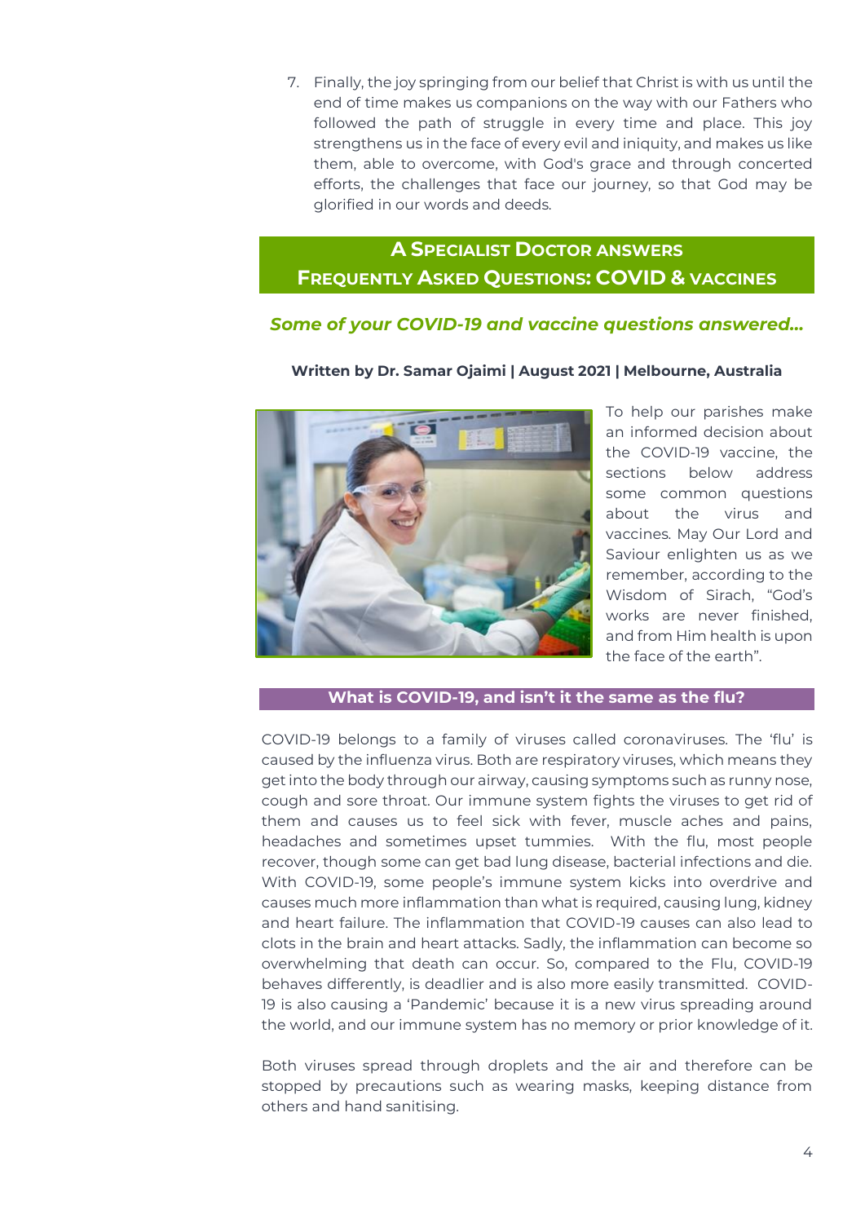7. Finally, the joy springing from our belief that Christ is with us until the end of time makes us companions on the way with our Fathers who followed the path of struggle in every time and place. This joy strengthens us in the face of every evil and iniquity, and makes us like them, able to overcome, with God's grace and through concerted efforts, the challenges that face our journey, so that God may be glorified in our words and deeds.

### <span id="page-3-0"></span>**A SPECIALIST DOCTOR ANSWERS FREQUENTLY ASKED QUESTIONS: COVID & VACCINES**

#### *Some of your COVID-19 and vaccine questions answered…*

#### **Written by Dr. Samar Ojaimi | August 2021 | Melbourne, Australia**



To help our parishes make an informed decision about the COVID-19 vaccine, the sections below address some common questions about the virus and vaccines. May Our Lord and Saviour enlighten us as we remember, according to the Wisdom of Sirach, "God's works are never finished, and from Him health is upon the face of the earth".

#### **What is COVID-19, and isn't it the same as the flu?**

COVID-19 belongs to a family of viruses called coronaviruses. The 'flu' is caused by the influenza virus. Both are respiratory viruses, which means they get into the body through our airway, causing symptoms such as runny nose, cough and sore throat. Our immune system fights the viruses to get rid of them and causes us to feel sick with fever, muscle aches and pains, headaches and sometimes upset tummies. With the flu, most people recover, though some can get bad lung disease, bacterial infections and die. With COVID-19, some people's immune system kicks into overdrive and causes much more inflammation than what is required, causing lung, kidney and heart failure. The inflammation that COVID-19 causes can also lead to clots in the brain and heart attacks. Sadly, the inflammation can become so overwhelming that death can occur. So, compared to the Flu, COVID-19 behaves differently, is deadlier and is also more easily transmitted. COVID-19 is also causing a 'Pandemic' because it is a new virus spreading around the world, and our immune system has no memory or prior knowledge of it.

Both viruses spread through droplets and the air and therefore can be stopped by precautions such as wearing masks, keeping distance from others and hand sanitising.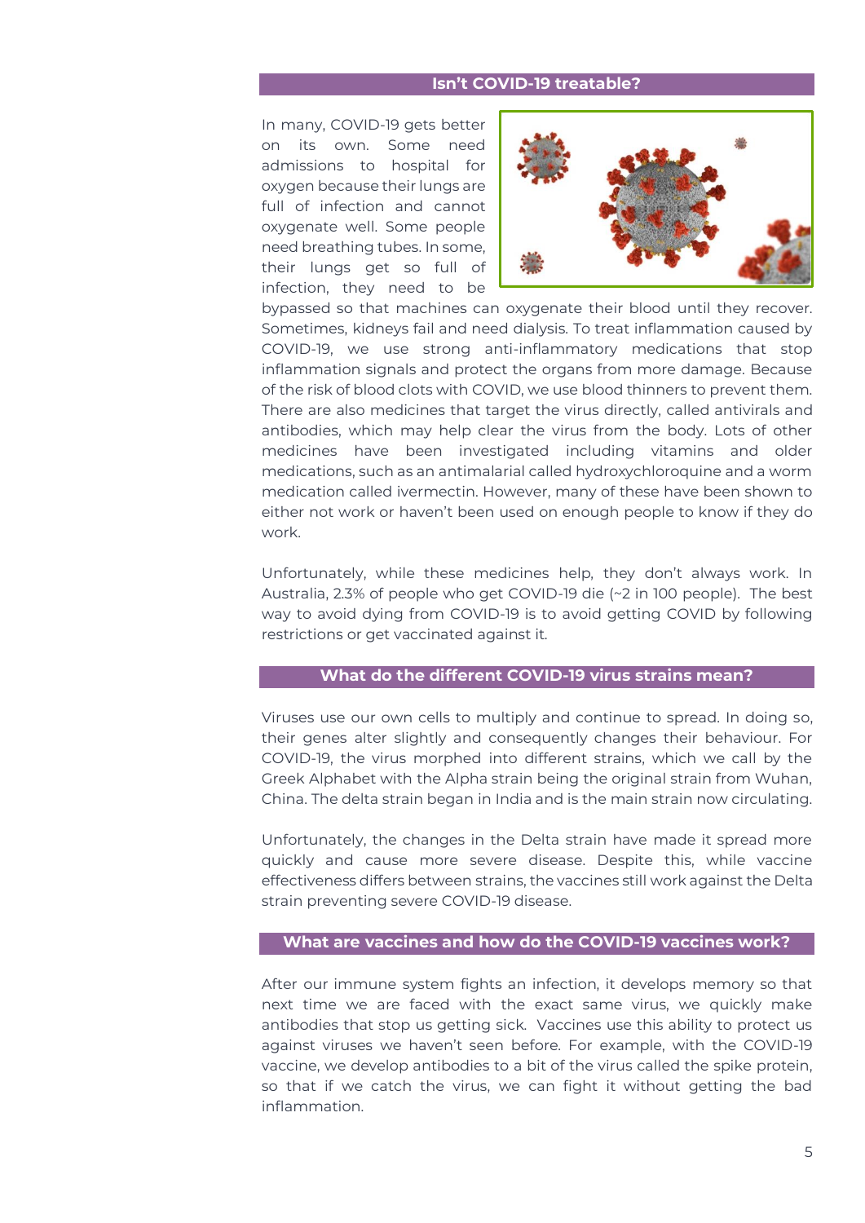#### **Isn't COVID-19 treatable?**

In many, COVID-19 gets better on its own. Some need admissions to hospital for oxygen because their lungs are full of infection and cannot oxygenate well. Some people need breathing tubes. In some, their lungs get so full of infection, they need to be



bypassed so that machines can oxygenate their blood until they recover. Sometimes, kidneys fail and need dialysis. To treat inflammation caused by COVID-19, we use strong anti-inflammatory medications that stop inflammation signals and protect the organs from more damage. Because of the risk of blood clots with COVID, we use blood thinners to prevent them. There are also medicines that target the virus directly, called antivirals and antibodies, which may help clear the virus from the body. Lots of other medicines have been investigated including vitamins and older medications, such as an antimalarial called hydroxychloroquine and a worm medication called ivermectin. However, many of these have been shown to either not work or haven't been used on enough people to know if they do work.

Unfortunately, while these medicines help, they don't always work. In Australia, 2.3% of people who get COVID-19 die (~2 in 100 people). The best way to avoid dying from COVID-19 is to avoid getting COVID by following restrictions or get vaccinated against it.

#### **What do the different COVID-19 virus strains mean?**

Viruses use our own cells to multiply and continue to spread. In doing so, their genes alter slightly and consequently changes their behaviour. For COVID-19, the virus morphed into different strains, which we call by the Greek Alphabet with the Alpha strain being the original strain from Wuhan, China. The delta strain began in India and is the main strain now circulating.

Unfortunately, the changes in the Delta strain have made it spread more quickly and cause more severe disease. Despite this, while vaccine effectiveness differs between strains, the vaccines still work against the Delta strain preventing severe COVID-19 disease.

#### **What are vaccines and how do the COVID-19 vaccines work?**

After our immune system fights an infection, it develops memory so that next time we are faced with the exact same virus, we quickly make antibodies that stop us getting sick. Vaccines use this ability to protect us against viruses we haven't seen before. For example, with the COVID-19 vaccine, we develop antibodies to a bit of the virus called the spike protein, so that if we catch the virus, we can fight it without getting the bad inflammation.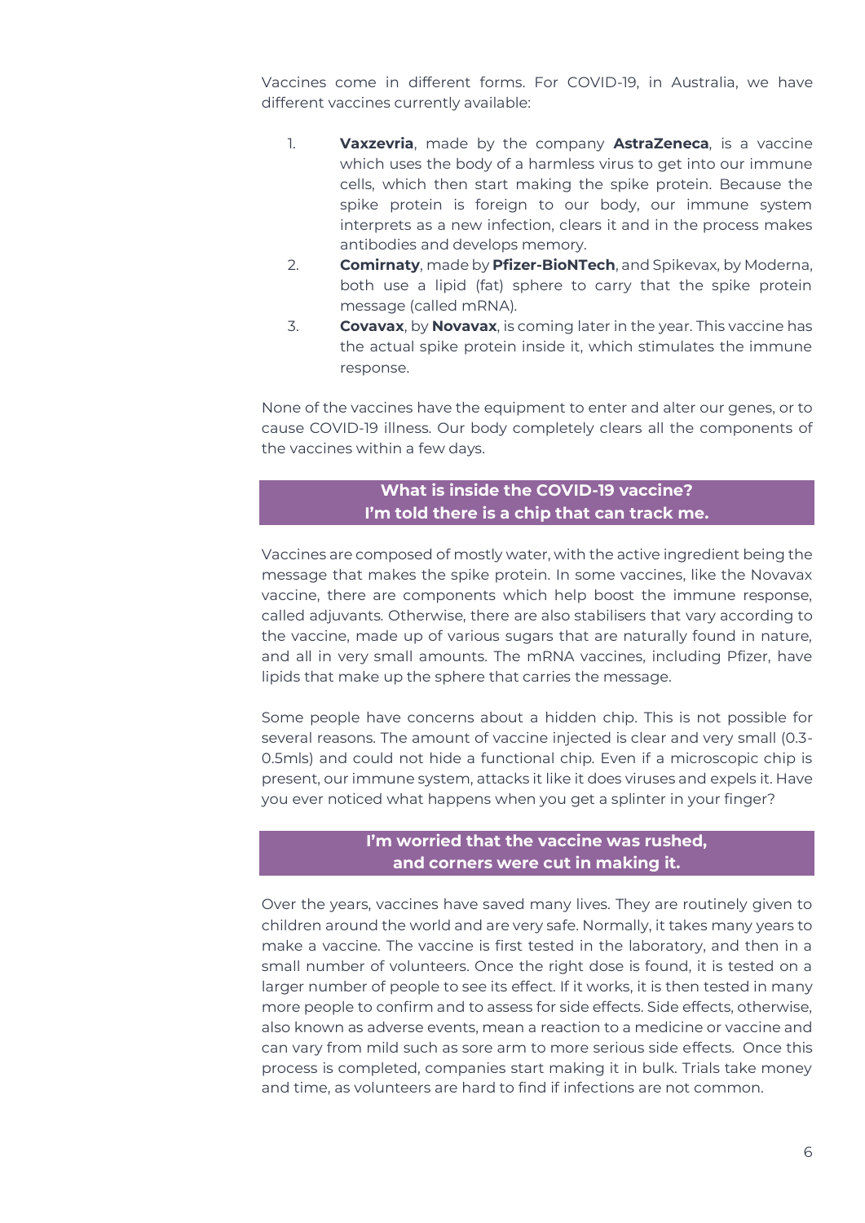Vaccines come in different forms. For COVID-19, in Australia, we have different vaccines currently available:

- 1. **Vaxzevria**, made by the company **AstraZeneca**, is a vaccine which uses the body of a harmless virus to get into our immune cells, which then start making the spike protein. Because the spike protein is foreign to our body, our immune system interprets as a new infection, clears it and in the process makes antibodies and develops memory.
- 2. **Comirnaty**, made by **Pfizer-BioNTech**, and Spikevax, by Moderna, both use a lipid (fat) sphere to carry that the spike protein message (called mRNA).
- 3. **Covavax**, by **Novavax**, is coming later in the year. This vaccine has the actual spike protein inside it, which stimulates the immune response.

None of the vaccines have the equipment to enter and alter our genes, or to cause COVID-19 illness. Our body completely clears all the components of the vaccines within a few days.

#### **What is inside the COVID-19 vaccine? I'm told there is a chip that can track me.**

Vaccines are composed of mostly water, with the active ingredient being the message that makes the spike protein. In some vaccines, like the Novavax vaccine, there are components which help boost the immune response, called adjuvants. Otherwise, there are also stabilisers that vary according to the vaccine, made up of various sugars that are naturally found in nature, and all in very small amounts. The mRNA vaccines, including Pfizer, have lipids that make up the sphere that carries the message.

Some people have concerns about a hidden chip. This is not possible for several reasons. The amount of vaccine injected is clear and very small (0.3- 0.5mls) and could not hide a functional chip. Even if a microscopic chip is present, our immune system, attacks it like it does viruses and expels it. Have you ever noticed what happens when you get a splinter in your finger?

#### **I'm worried that the vaccine was rushed, and corners were cut in making it.**

Over the years, vaccines have saved many lives. They are routinely given to children around the world and are very safe. Normally, it takes many years to make a vaccine. The vaccine is first tested in the laboratory, and then in a small number of volunteers. Once the right dose is found, it is tested on a larger number of people to see its effect. If it works, it is then tested in many more people to confirm and to assess for side effects. Side effects, otherwise, also known as adverse events, mean a reaction to a medicine or vaccine and can vary from mild such as sore arm to more serious side effects. Once this process is completed, companies start making it in bulk. Trials take money and time, as volunteers are hard to find if infections are not common.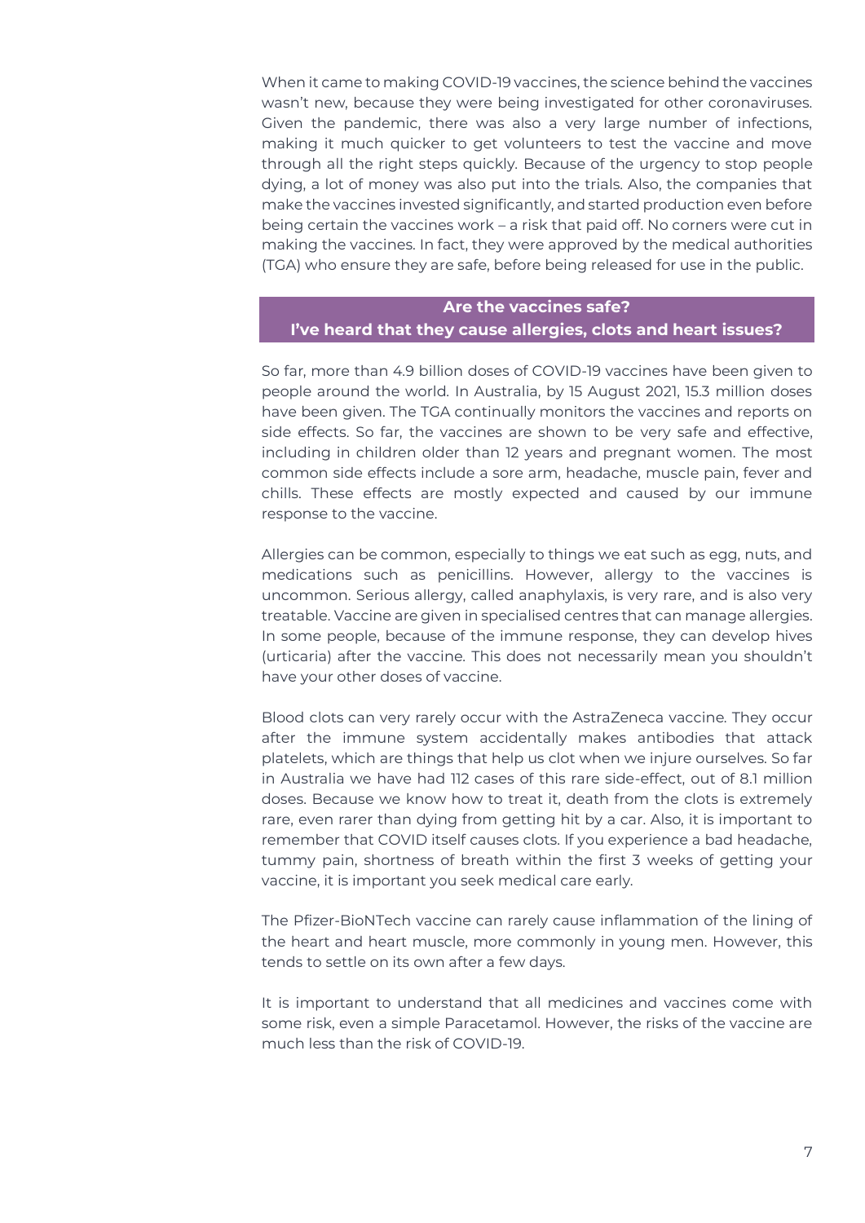When it came to making COVID-19 vaccines, the science behind the vaccines wasn't new, because they were being investigated for other coronaviruses. Given the pandemic, there was also a very large number of infections, making it much quicker to get volunteers to test the vaccine and move through all the right steps quickly. Because of the urgency to stop people dying, a lot of money was also put into the trials. Also, the companies that make the vaccines invested significantly, and started production even before being certain the vaccines work – a risk that paid off. No corners were cut in making the vaccines. In fact, they were approved by the medical authorities (TGA) who ensure they are safe, before being released for use in the public.

#### **Are the vaccines safe?**

#### **I've heard that they cause allergies, clots and heart issues?**

So far, more than 4.9 billion doses of COVID-19 vaccines have been given to people around the world. In Australia, by 15 August 2021, 15.3 million doses have been given. The TGA continually monitors the vaccines and reports on side effects. So far, the vaccines are shown to be very safe and effective, including in children older than 12 years and pregnant women. The most common side effects include a sore arm, headache, muscle pain, fever and chills. These effects are mostly expected and caused by our immune response to the vaccine.

Allergies can be common, especially to things we eat such as egg, nuts, and medications such as penicillins. However, allergy to the vaccines is uncommon. Serious allergy, called anaphylaxis, is very rare, and is also very treatable. Vaccine are given in specialised centres that can manage allergies. In some people, because of the immune response, they can develop hives (urticaria) after the vaccine. This does not necessarily mean you shouldn't have your other doses of vaccine.

Blood clots can very rarely occur with the AstraZeneca vaccine. They occur after the immune system accidentally makes antibodies that attack platelets, which are things that help us clot when we injure ourselves. So far in Australia we have had 112 cases of this rare side-effect, out of 8.1 million doses. Because we know how to treat it, death from the clots is extremely rare, even rarer than dying from getting hit by a car. Also, it is important to remember that COVID itself causes clots. If you experience a bad headache, tummy pain, shortness of breath within the first 3 weeks of getting your vaccine, it is important you seek medical care early.

The Pfizer-BioNTech vaccine can rarely cause inflammation of the lining of the heart and heart muscle, more commonly in young men. However, this tends to settle on its own after a few days.

It is important to understand that all medicines and vaccines come with some risk, even a simple Paracetamol. However, the risks of the vaccine are much less than the risk of COVID-19.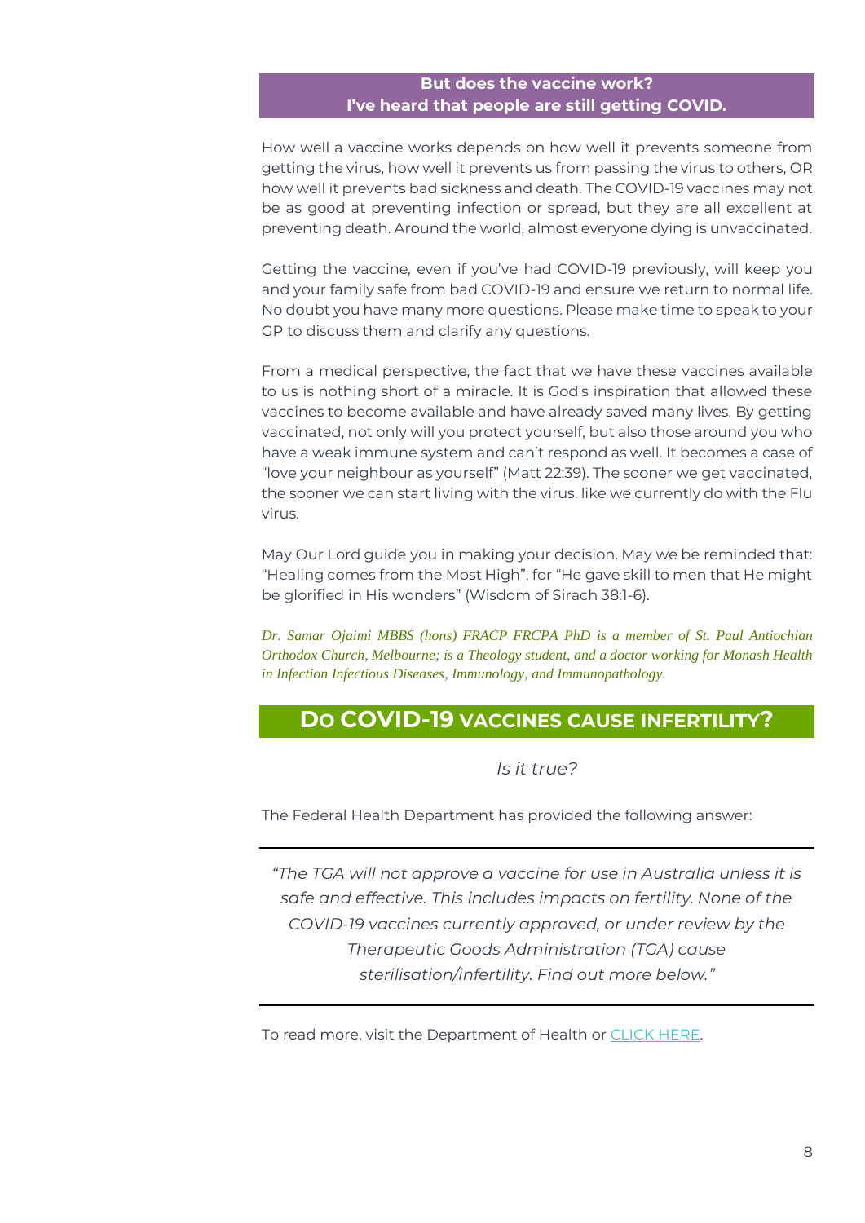#### **But does the vaccine work? I've heard that people are still getting COVID.**

How well a vaccine works depends on how well it prevents someone from getting the virus, how well it prevents us from passing the virus to others, OR how well it prevents bad sickness and death. The COVID-19 vaccines may not be as good at preventing infection or spread, but they are all excellent at preventing death. Around the world, almost everyone dying is unvaccinated.

Getting the vaccine, even if you've had COVID-19 previously, will keep you and your family safe from bad COVID-19 and ensure we return to normal life. No doubt you have many more questions. Please make time to speak to your GP to discuss them and clarify any questions.

From a medical perspective, the fact that we have these vaccines available to us is nothing short of a miracle. It is God's inspiration that allowed these vaccines to become available and have already saved many lives. By getting vaccinated, not only will you protect yourself, but also those around you who have a weak immune system and can't respond as well. It becomes a case of "love your neighbour as yourself" (Matt 22:39). The sooner we get vaccinated, the sooner we can start living with the virus, like we currently do with the Flu virus.

May Our Lord guide you in making your decision. May we be reminded that: "Healing comes from the Most High", for "He gave skill to men that He might be glorified in His wonders" (Wisdom of Sirach 38:1-6).

*Dr. Samar Ojaimi MBBS (hons) FRACP FRCPA PhD is a member of St. Paul Antiochian Orthodox Church, Melbourne; is a Theology student, and a doctor working for Monash Health in Infection Infectious Diseases, Immunology, and Immunopathology.*

### <span id="page-7-0"></span>**DO COVID-19 VACCINES CAUSE INFERTILITY?**

#### *Is it true?*

The Federal Health Department has provided the following answer:

*"The TGA will not approve a vaccine for use in Australia unless it is safe and effective. This includes impacts on fertility. None of the COVID-19 vaccines currently approved, or under review by the Therapeutic Goods Administration (TGA) cause sterilisation/infertility. Find out more below."*

To read more, visit the Department of Health or [CLICK HERE.](https://www.health.gov.au/initiatives-and-programs/covid-19-vaccines/is-it-true/is-it-true-do-covid-19-vaccines-cause-infertility)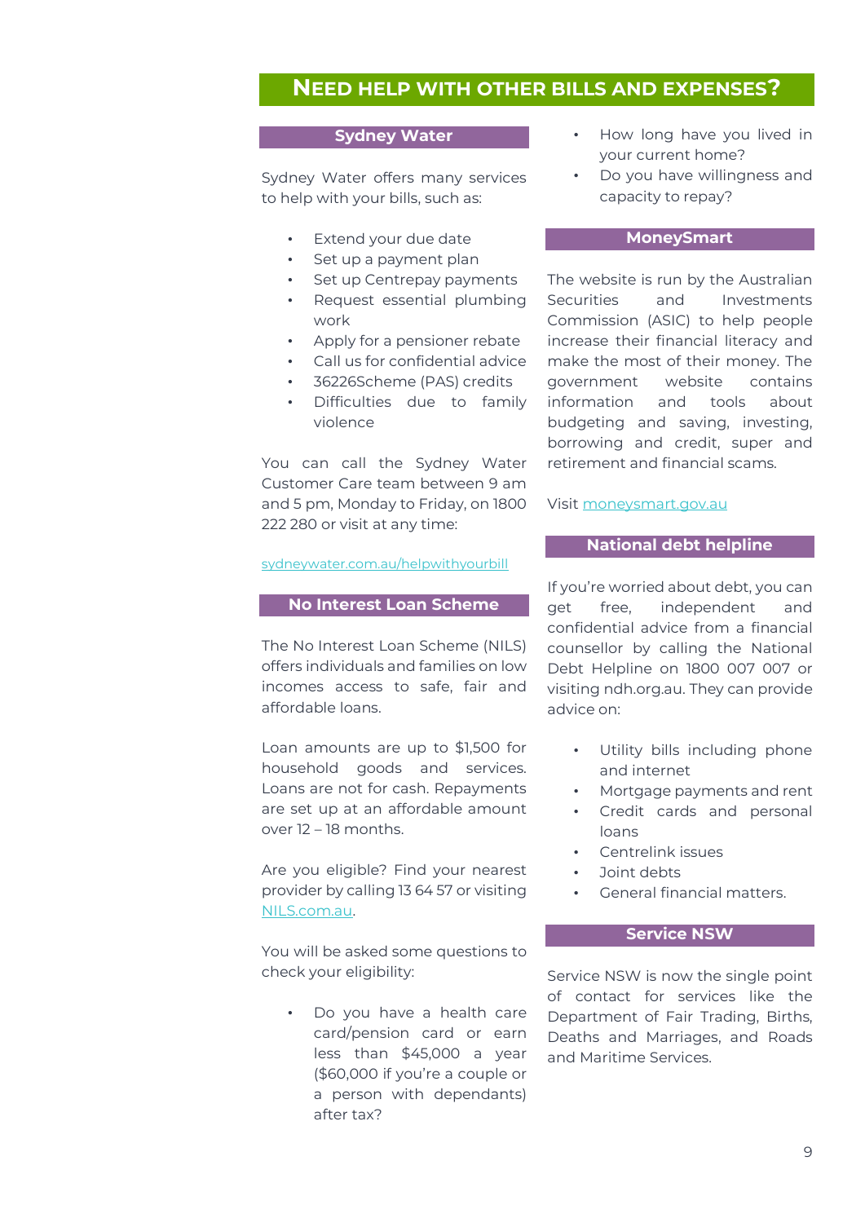#### <span id="page-8-0"></span>**NEED HELP WITH OTHER BILLS AND EXPENSES?**

#### **Sydney Water**

Sydney Water offers many services to help with your bills, such as:

- Extend your due date
- Set up a payment plan
- Set up Centrepay payments
- Request essential plumbing work
- Apply for a pensioner rebate
- Call us for confidential advice
- 36226Scheme (PAS) credits
- Difficulties due to family violence

You can call the Sydney Water Customer Care team between 9 am and 5 pm, Monday to Friday, on 1800 222 280 or visit at any time:

#### [sydneywater.com.au/helpwithyourbill](https://sydneywater.com.au/helpwithyourbill)

#### **No Interest Loan Scheme**

The No Interest Loan Scheme (NILS) offers individuals and families on low incomes access to safe, fair and affordable loans.

Loan amounts are up to \$1,500 for household goods and services. Loans are not for cash. Repayments are set up at an affordable amount over 12 – 18 months.

Are you eligible? Find your nearest provider by calling 13 64 57 or visiting [NILS.com.au.](http://nils.com.au/)

You will be asked some questions to check your eligibility:

> Do you have a health care card/pension card or earn less than \$45,000 a year (\$60,000 if you're a couple or a person with dependants) after tax?

- How long have you lived in your current home?
- Do you have willingness and capacity to repay?

#### **MoneySmart**

The website is run by the Australian Securities and Investments Commission (ASIC) to help people increase their financial literacy and make the most of their money. The government website contains information and tools about budgeting and saving, investing, borrowing and credit, super and retirement and financial scams.

#### Visi[t moneysmart.gov.au](http://moneysmart.gov.au/)

#### **National debt helpline**

If you're worried about debt, you can get free, independent and confidential advice from a financial counsellor by calling the National Debt Helpline on 1800 007 007 or visiting ndh.org.au. They can provide advice on:

- Utility bills including phone and internet
- Mortgage payments and rent
- Credit cards and personal loans
- Centrelink issues
- Joint debts
- General financial matters.

#### **Service NSW**

Service NSW is now the single point of contact for services like the Department of Fair Trading, Births, Deaths and Marriages, and Roads and Maritime Services.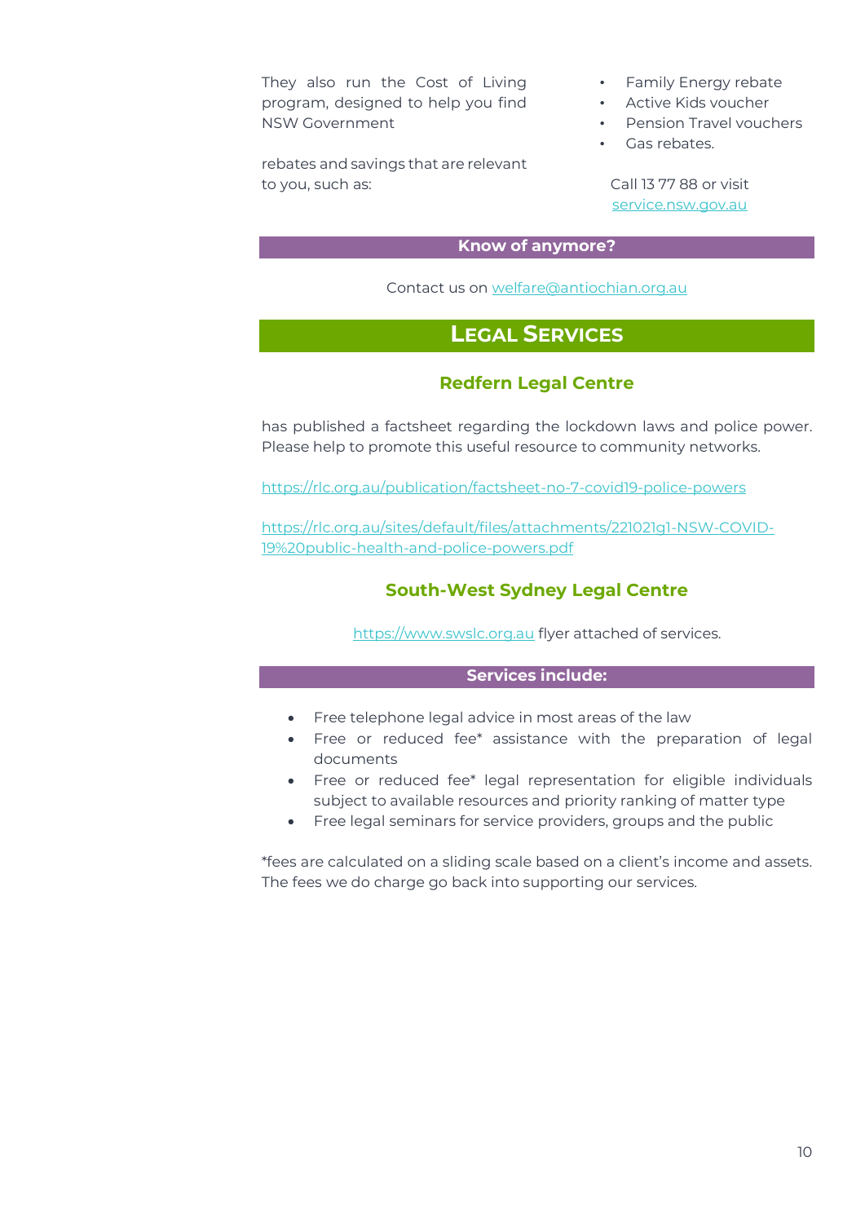They also run the Cost of Living program, designed to help you find NSW Government

rebates and savings that are relevant to you, such as:

- Family Energy rebate
- Active Kids voucher
- Pension Travel vouchers
- Gas rebates

Call 13 77 88 or visit [service.nsw.gov.au](http://service.nsw.gov.au/)

#### **Know of anymore?**

Contact us o[n welfare@antiochian.org.au](mailto:welfare@antiochian.org.au)

### **LEGAL SERVICES**

#### **Redfern Legal Centre**

<span id="page-9-1"></span><span id="page-9-0"></span>has published a factsheet regarding the lockdown laws and police power. Please help to promote this useful resource to community networks.

<https://rlc.org.au/publication/factsheet-no-7-covid19-police-powers>

<span id="page-9-2"></span>[https://rlc.org.au/sites/default/files/attachments/221021g1-NSW-COVID-](https://rlc.org.au/sites/default/files/attachments/221021g1-NSW-COVID-19%20public-health-and-police-powers.pdf)[19%20public-health-and-police-powers.pdf](https://rlc.org.au/sites/default/files/attachments/221021g1-NSW-COVID-19%20public-health-and-police-powers.pdf)

#### **South-West Sydney Legal Centre**

[https://www.swslc.org.au](https://www.swslc.org.au/) flyer attached of services.

#### **Services include:**

- Free telephone legal advice in most areas of the law
- Free or reduced fee\* assistance with the preparation of legal documents
- Free or reduced fee\* legal representation for eligible individuals subject to available resources and priority ranking of matter type
- Free legal seminars for service providers, groups and the public

\*fees are calculated on a sliding scale based on a client's income and assets. The fees we do charge go back into supporting our services.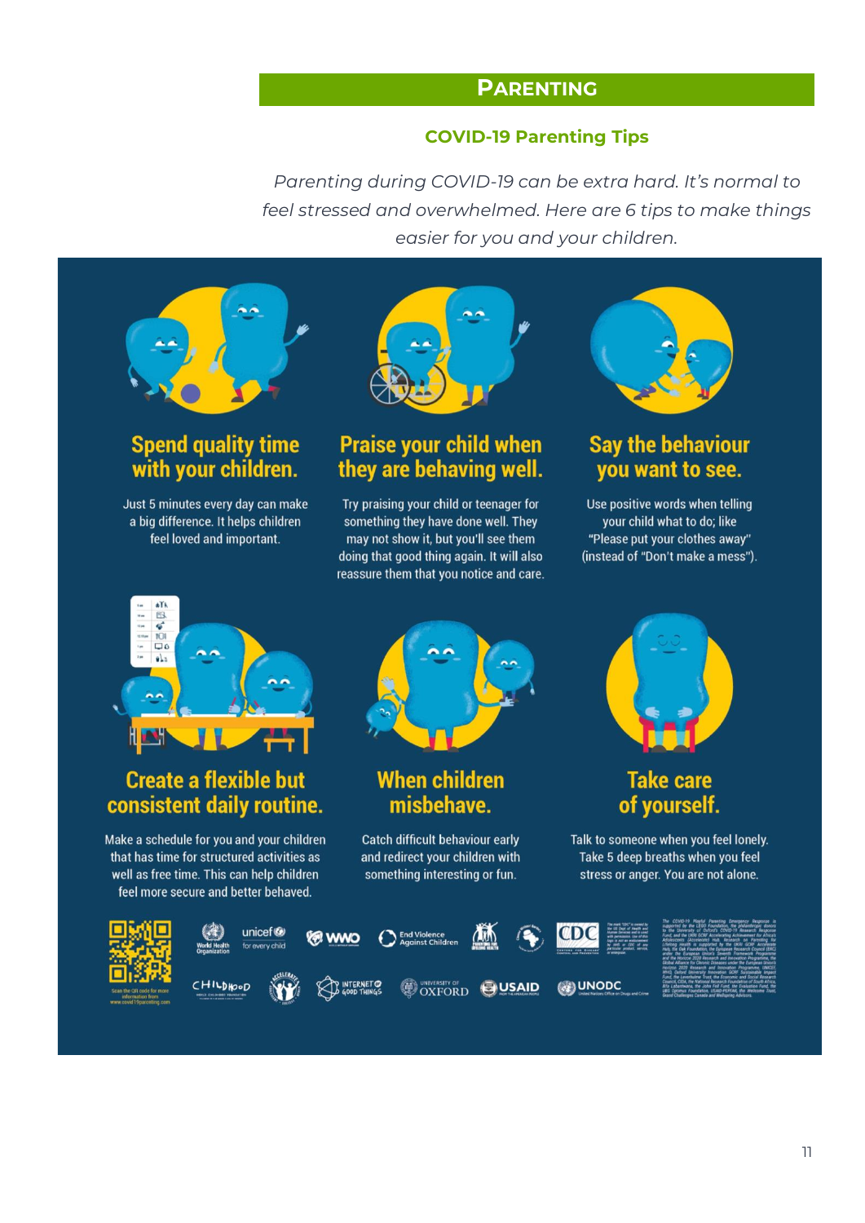### **PARENTING**

#### **COVID-19 Parenting Tips**

<span id="page-10-1"></span><span id="page-10-0"></span>*Parenting during COVID-19 can be extra hard. It's normal to feel stressed and overwhelmed. Here are 6 tips to make things easier for you and your children.*



### **Spend quality time** with your children.

Just 5 minutes every day can make a big difference. It helps children feel loved and important.



### **Praise your child when** they are behaving well.

Try praising your child or teenager for something they have done well. They may not show it, but you'll see them doing that good thing again. It will also reassure them that you notice and care.



### **Say the behaviour** you want to see.

Use positive words when telling your child what to do; like "Please put your clothes away" (instead of "Don't make a mess").



### **Create a flexible but** consistent daily routine.

Make a schedule for you and your children that has time for structured activities as well as free time. This can help children feel more secure and better behaved.



### **When children** misbehave.

Catch difficult behaviour early and redirect your children with something interesting or fun.



### **Take care** of yourself.

Talk to someone when you feel lonely. Take 5 deep breaths when you feel stress or anger. You are not alone.